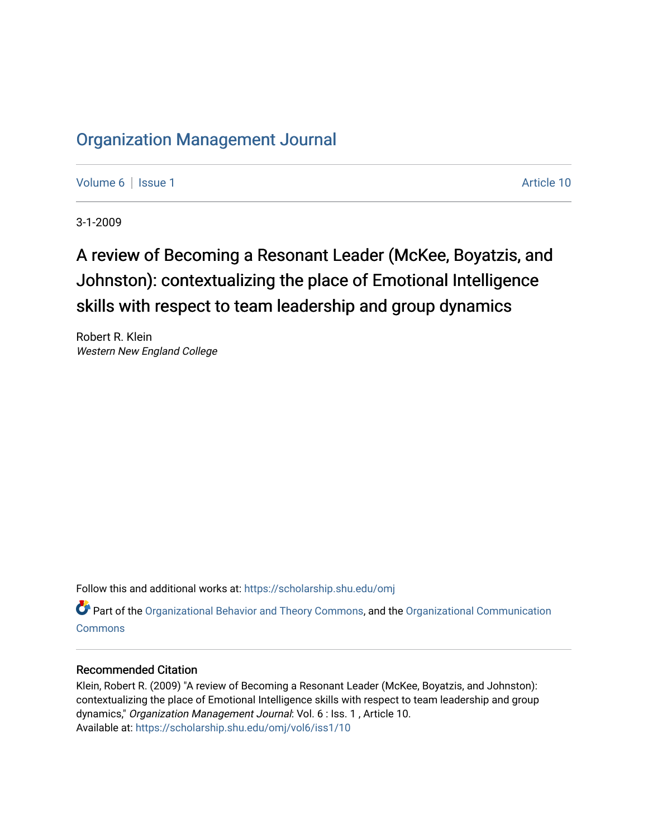## [Organization Management Journal](https://scholarship.shu.edu/omj)

[Volume 6](https://scholarship.shu.edu/omj/vol6) | [Issue 1](https://scholarship.shu.edu/omj/vol6/iss1) Article 10

3-1-2009

# A review of Becoming a Resonant Leader (McKee, Boyatzis, and Johnston): contextualizing the place of Emotional Intelligence skills with respect to team leadership and group dynamics

Robert R. Klein Western New England College

Follow this and additional works at: [https://scholarship.shu.edu/omj](https://scholarship.shu.edu/omj?utm_source=scholarship.shu.edu%2Fomj%2Fvol6%2Fiss1%2F10&utm_medium=PDF&utm_campaign=PDFCoverPages) 

Part of the [Organizational Behavior and Theory Commons,](http://network.bepress.com/hgg/discipline/639?utm_source=scholarship.shu.edu%2Fomj%2Fvol6%2Fiss1%2F10&utm_medium=PDF&utm_campaign=PDFCoverPages) and the [Organizational Communication](http://network.bepress.com/hgg/discipline/335?utm_source=scholarship.shu.edu%2Fomj%2Fvol6%2Fiss1%2F10&utm_medium=PDF&utm_campaign=PDFCoverPages) [Commons](http://network.bepress.com/hgg/discipline/335?utm_source=scholarship.shu.edu%2Fomj%2Fvol6%2Fiss1%2F10&utm_medium=PDF&utm_campaign=PDFCoverPages)

#### Recommended Citation

Klein, Robert R. (2009) "A review of Becoming a Resonant Leader (McKee, Boyatzis, and Johnston): contextualizing the place of Emotional Intelligence skills with respect to team leadership and group dynamics," Organization Management Journal: Vol. 6 : Iss. 1 , Article 10. Available at: [https://scholarship.shu.edu/omj/vol6/iss1/10](https://scholarship.shu.edu/omj/vol6/iss1/10?utm_source=scholarship.shu.edu%2Fomj%2Fvol6%2Fiss1%2F10&utm_medium=PDF&utm_campaign=PDFCoverPages)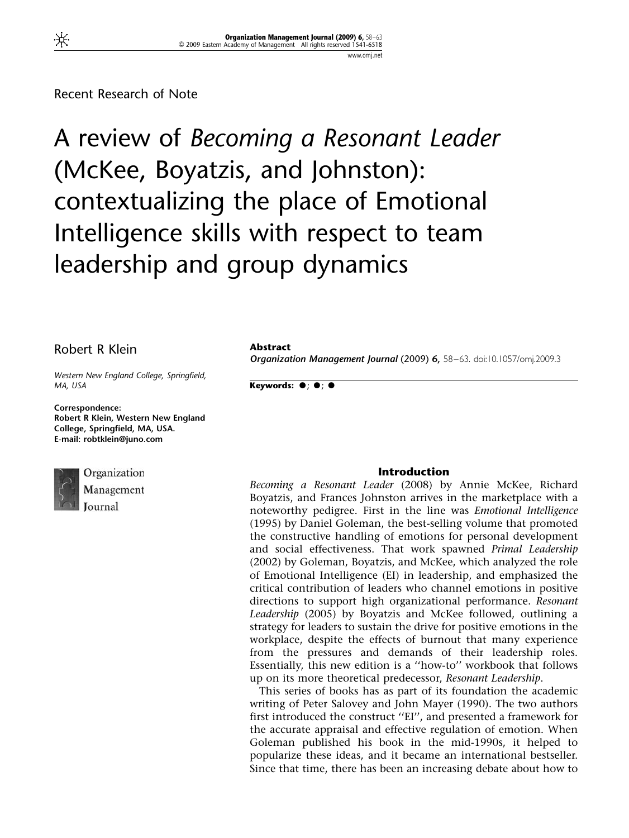Recent Research of Note

A review of Becoming a Resonant Leader (McKee, Boyatzis, and Johnston): contextualizing the place of Emotional Intelligence skills with respect to team leadership and group dynamics

## Robert R Klein

Western New England College, Springfield, MA, USA

Correspondence: Robert R Klein, Western New England College, Springfield, MA, USA. E-mail: robtklein@juno.com



Organization Management

#### Abstract

Organization Management Journal (2009) 6, 58–63. doi:10.1057/omj.2009.3

Keywords:  $\bullet$ ;  $\bullet$ ;  $\bullet$ 

#### Introduction

Becoming a Resonant Leader (2008) by Annie McKee, Richard Boyatzis, and Frances Johnston arrives in the marketplace with a noteworthy pedigree. First in the line was Emotional Intelligence (1995) by Daniel Goleman, the best-selling volume that promoted the constructive handling of emotions for personal development and social effectiveness. That work spawned *Primal Leadership* (2002) by Goleman, Boyatzis, and McKee, which analyzed the role of Emotional Intelligence (EI) in leadership, and emphasized the critical contribution of leaders who channel emotions in positive directions to support high organizational performance. Resonant Leadership (2005) by Boyatzis and McKee followed, outlining a strategy for leaders to sustain the drive for positive emotions in the workplace, despite the effects of burnout that many experience from the pressures and demands of their leadership roles. Essentially, this new edition is a ''how-to'' workbook that follows up on its more theoretical predecessor, Resonant Leadership.

This series of books has as part of its foundation the academic writing of Peter Salovey and John Mayer (1990). The two authors first introduced the construct ''EI'', and presented a framework for the accurate appraisal and effective regulation of emotion. When Goleman published his book in the mid-1990s, it helped to popularize these ideas, and it became an international bestseller. Since that time, there has been an increasing debate about how to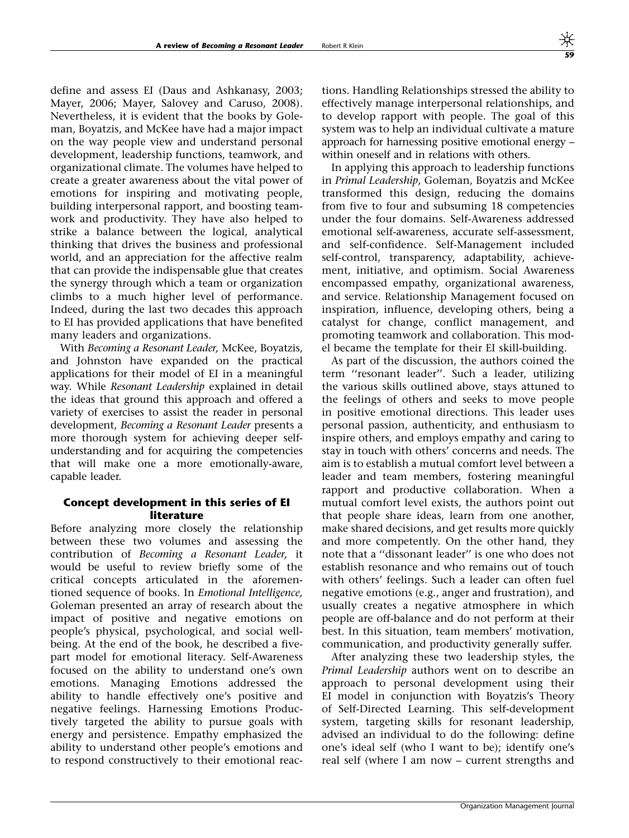define and assess EI (Daus and Ashkanasy, 2003; Mayer, 2006; Mayer, Salovey and Caruso, 2008). Nevertheless, it is evident that the books by Goleman, Boyatzis, and McKee have had a major impact on the way people view and understand personal development, leadership functions, teamwork, and organizational climate. The volumes have helped to create a greater awareness about the vital power of emotions for inspiring and motivating people, building interpersonal rapport, and boosting teamwork and productivity. They have also helped to strike a balance between the logical, analytical thinking that drives the business and professional world, and an appreciation for the affective realm that can provide the indispensable glue that creates the synergy through which a team or organization climbs to a much higher level of performance. Indeed, during the last two decades this approach to EI has provided applications that have benefited many leaders and organizations.

With Becoming a Resonant Leader, McKee, Boyatzis, and Johnston have expanded on the practical applications for their model of EI in a meaningful way. While Resonant Leadership explained in detail the ideas that ground this approach and offered a variety of exercises to assist the reader in personal development, Becoming a Resonant Leader presents a more thorough system for achieving deeper selfunderstanding and for acquiring the competencies that will make one a more emotionally-aware, capable leader.

## Concept development in this series of EI literature

Before analyzing more closely the relationship between these two volumes and assessing the contribution of Becoming a Resonant Leader, it would be useful to review briefly some of the critical concepts articulated in the aforementioned sequence of books. In Emotional Intelligence, Goleman presented an array of research about the impact of positive and negative emotions on people's physical, psychological, and social wellbeing. At the end of the book, he described a fivepart model for emotional literacy. Self-Awareness focused on the ability to understand one's own emotions. Managing Emotions addressed the ability to handle effectively one's positive and negative feelings. Harnessing Emotions Productively targeted the ability to pursue goals with energy and persistence. Empathy emphasized the ability to understand other people's emotions and to respond constructively to their emotional reactions. Handling Relationships stressed the ability to effectively manage interpersonal relationships, and to develop rapport with people. The goal of this system was to help an individual cultivate a mature approach for harnessing positive emotional energy – within oneself and in relations with others.

In applying this approach to leadership functions in Primal Leadership, Goleman, Boyatzis and McKee transformed this design, reducing the domains from five to four and subsuming 18 competencies under the four domains. Self-Awareness addressed emotional self-awareness, accurate self-assessment, and self-confidence. Self-Management included self-control, transparency, adaptability, achievement, initiative, and optimism. Social Awareness encompassed empathy, organizational awareness, and service. Relationship Management focused on inspiration, influence, developing others, being a catalyst for change, conflict management, and promoting teamwork and collaboration. This model became the template for their EI skill-building.

As part of the discussion, the authors coined the term ''resonant leader''. Such a leader, utilizing the various skills outlined above, stays attuned to the feelings of others and seeks to move people in positive emotional directions. This leader uses personal passion, authenticity, and enthusiasm to inspire others, and employs empathy and caring to stay in touch with others' concerns and needs. The aim is to establish a mutual comfort level between a leader and team members, fostering meaningful rapport and productive collaboration. When a mutual comfort level exists, the authors point out that people share ideas, learn from one another, make shared decisions, and get results more quickly and more competently. On the other hand, they note that a ''dissonant leader'' is one who does not establish resonance and who remains out of touch with others' feelings. Such a leader can often fuel negative emotions (e.g., anger and frustration), and usually creates a negative atmosphere in which people are off-balance and do not perform at their best. In this situation, team members' motivation, communication, and productivity generally suffer.

After analyzing these two leadership styles, the Primal Leadership authors went on to describe an approach to personal development using their EI model in conjunction with Boyatzis's Theory of Self-Directed Learning. This self-development system, targeting skills for resonant leadership, advised an individual to do the following: define one's ideal self (who I want to be); identify one's real self (where I am now – current strengths and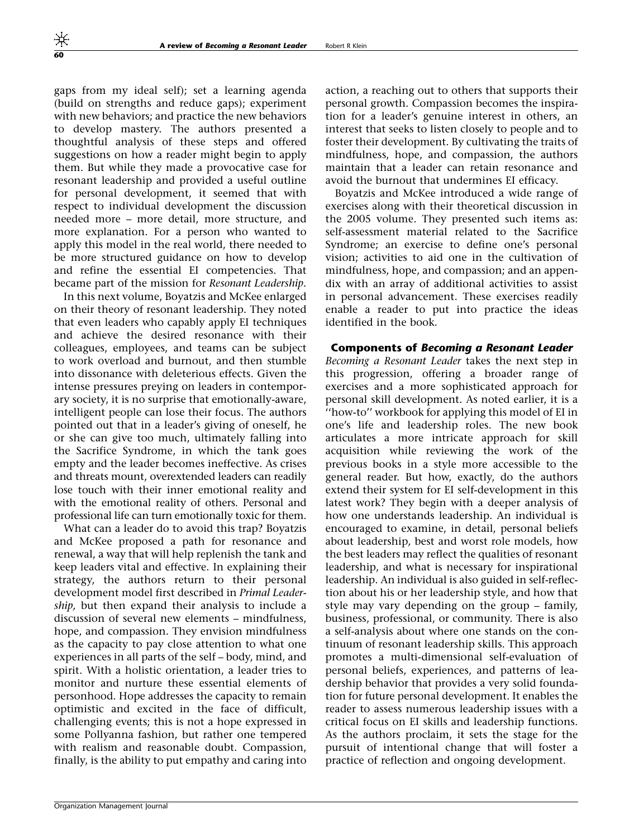gaps from my ideal self); set a learning agenda (build on strengths and reduce gaps); experiment with new behaviors; and practice the new behaviors to develop mastery. The authors presented a thoughtful analysis of these steps and offered suggestions on how a reader might begin to apply them. But while they made a provocative case for resonant leadership and provided a useful outline for personal development, it seemed that with respect to individual development the discussion needed more – more detail, more structure, and more explanation. For a person who wanted to apply this model in the real world, there needed to be more structured guidance on how to develop and refine the essential EI competencies. That became part of the mission for Resonant Leadership.

In this next volume, Boyatzis and McKee enlarged on their theory of resonant leadership. They noted that even leaders who capably apply EI techniques and achieve the desired resonance with their colleagues, employees, and teams can be subject to work overload and burnout, and then stumble into dissonance with deleterious effects. Given the intense pressures preying on leaders in contemporary society, it is no surprise that emotionally-aware, intelligent people can lose their focus. The authors pointed out that in a leader's giving of oneself, he or she can give too much, ultimately falling into the Sacrifice Syndrome, in which the tank goes empty and the leader becomes ineffective. As crises and threats mount, overextended leaders can readily lose touch with their inner emotional reality and with the emotional reality of others. Personal and professional life can turn emotionally toxic for them.

What can a leader do to avoid this trap? Boyatzis and McKee proposed a path for resonance and renewal, a way that will help replenish the tank and keep leaders vital and effective. In explaining their strategy, the authors return to their personal development model first described in Primal Leadership, but then expand their analysis to include a discussion of several new elements – mindfulness, hope, and compassion. They envision mindfulness as the capacity to pay close attention to what one experiences in all parts of the self – body, mind, and spirit. With a holistic orientation, a leader tries to monitor and nurture these essential elements of personhood. Hope addresses the capacity to remain optimistic and excited in the face of difficult, challenging events; this is not a hope expressed in some Pollyanna fashion, but rather one tempered with realism and reasonable doubt. Compassion, finally, is the ability to put empathy and caring into action, a reaching out to others that supports their personal growth. Compassion becomes the inspiration for a leader's genuine interest in others, an interest that seeks to listen closely to people and to foster their development. By cultivating the traits of mindfulness, hope, and compassion, the authors maintain that a leader can retain resonance and avoid the burnout that undermines EI efficacy.

Boyatzis and McKee introduced a wide range of exercises along with their theoretical discussion in the 2005 volume. They presented such items as: self-assessment material related to the Sacrifice Syndrome; an exercise to define one's personal vision; activities to aid one in the cultivation of mindfulness, hope, and compassion; and an appendix with an array of additional activities to assist in personal advancement. These exercises readily enable a reader to put into practice the ideas identified in the book.

#### Components of Becoming a Resonant Leader

Becoming a Resonant Leader takes the next step in this progression, offering a broader range of exercises and a more sophisticated approach for personal skill development. As noted earlier, it is a ''how-to'' workbook for applying this model of EI in one's life and leadership roles. The new book articulates a more intricate approach for skill acquisition while reviewing the work of the previous books in a style more accessible to the general reader. But how, exactly, do the authors extend their system for EI self-development in this latest work? They begin with a deeper analysis of how one understands leadership. An individual is encouraged to examine, in detail, personal beliefs about leadership, best and worst role models, how the best leaders may reflect the qualities of resonant leadership, and what is necessary for inspirational leadership. An individual is also guided in self-reflection about his or her leadership style, and how that style may vary depending on the group – family, business, professional, or community. There is also a self-analysis about where one stands on the continuum of resonant leadership skills. This approach promotes a multi-dimensional self-evaluation of personal beliefs, experiences, and patterns of leadership behavior that provides a very solid foundation for future personal development. It enables the reader to assess numerous leadership issues with a critical focus on EI skills and leadership functions. As the authors proclaim, it sets the stage for the pursuit of intentional change that will foster a practice of reflection and ongoing development.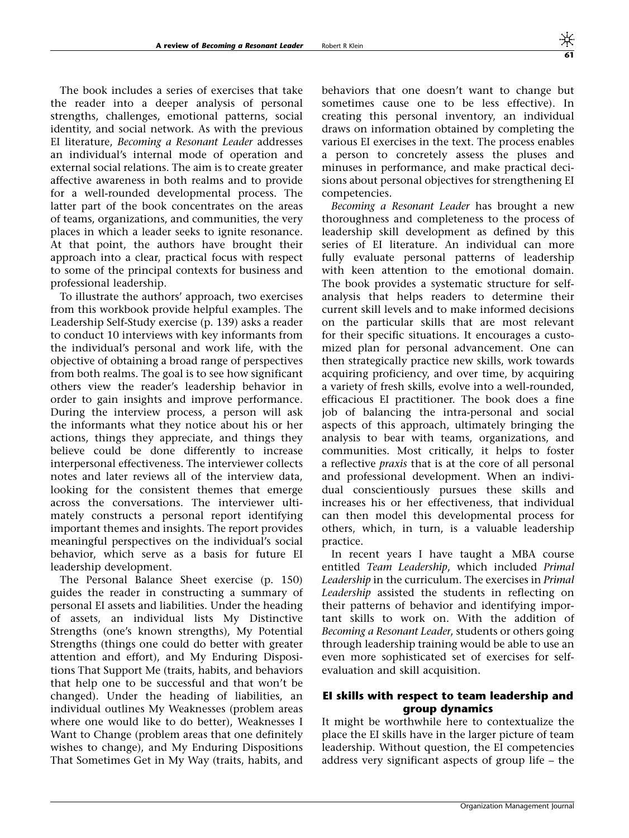The book includes a series of exercises that take the reader into a deeper analysis of personal strengths, challenges, emotional patterns, social identity, and social network. As with the previous EI literature, Becoming a Resonant Leader addresses an individual's internal mode of operation and external social relations. The aim is to create greater affective awareness in both realms and to provide for a well-rounded developmental process. The latter part of the book concentrates on the areas of teams, organizations, and communities, the very places in which a leader seeks to ignite resonance. At that point, the authors have brought their approach into a clear, practical focus with respect to some of the principal contexts for business and professional leadership.

To illustrate the authors' approach, two exercises from this workbook provide helpful examples. The Leadership Self-Study exercise (p. 139) asks a reader to conduct 10 interviews with key informants from the individual's personal and work life, with the objective of obtaining a broad range of perspectives from both realms. The goal is to see how significant others view the reader's leadership behavior in order to gain insights and improve performance. During the interview process, a person will ask the informants what they notice about his or her actions, things they appreciate, and things they believe could be done differently to increase interpersonal effectiveness. The interviewer collects notes and later reviews all of the interview data, looking for the consistent themes that emerge across the conversations. The interviewer ultimately constructs a personal report identifying important themes and insights. The report provides meaningful perspectives on the individual's social behavior, which serve as a basis for future EI leadership development.

The Personal Balance Sheet exercise (p. 150) guides the reader in constructing a summary of personal EI assets and liabilities. Under the heading of assets, an individual lists My Distinctive Strengths (one's known strengths), My Potential Strengths (things one could do better with greater attention and effort), and My Enduring Dispositions That Support Me (traits, habits, and behaviors that help one to be successful and that won't be changed). Under the heading of liabilities, an individual outlines My Weaknesses (problem areas where one would like to do better), Weaknesses I Want to Change (problem areas that one definitely wishes to change), and My Enduring Dispositions That Sometimes Get in My Way (traits, habits, and behaviors that one doesn't want to change but sometimes cause one to be less effective). In creating this personal inventory, an individual draws on information obtained by completing the various EI exercises in the text. The process enables a person to concretely assess the pluses and minuses in performance, and make practical decisions about personal objectives for strengthening EI competencies.

Becoming a Resonant Leader has brought a new thoroughness and completeness to the process of leadership skill development as defined by this series of EI literature. An individual can more fully evaluate personal patterns of leadership with keen attention to the emotional domain. The book provides a systematic structure for selfanalysis that helps readers to determine their current skill levels and to make informed decisions on the particular skills that are most relevant for their specific situations. It encourages a customized plan for personal advancement. One can then strategically practice new skills, work towards acquiring proficiency, and over time, by acquiring a variety of fresh skills, evolve into a well-rounded, efficacious EI practitioner. The book does a fine job of balancing the intra-personal and social aspects of this approach, ultimately bringing the analysis to bear with teams, organizations, and communities. Most critically, it helps to foster a reflective praxis that is at the core of all personal and professional development. When an individual conscientiously pursues these skills and increases his or her effectiveness, that individual can then model this developmental process for others, which, in turn, is a valuable leadership practice.

In recent years I have taught a MBA course entitled Team Leadership, which included Primal Leadership in the curriculum. The exercises in Primal Leadership assisted the students in reflecting on their patterns of behavior and identifying important skills to work on. With the addition of Becoming a Resonant Leader, students or others going through leadership training would be able to use an even more sophisticated set of exercises for selfevaluation and skill acquisition.

## EI skills with respect to team leadership and group dynamics

It might be worthwhile here to contextualize the place the EI skills have in the larger picture of team leadership. Without question, the EI competencies address very significant aspects of group life – the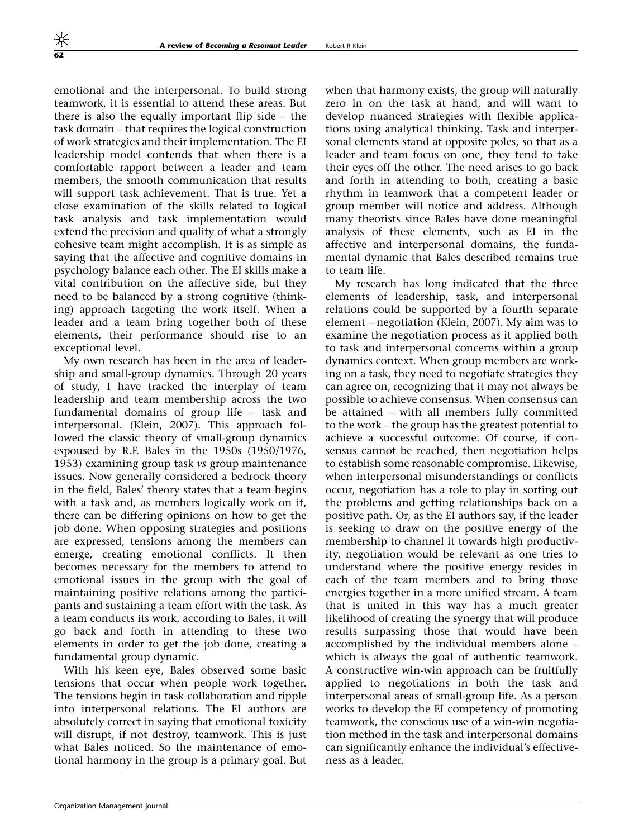emotional and the interpersonal. To build strong teamwork, it is essential to attend these areas. But there is also the equally important flip side – the task domain – that requires the logical construction of work strategies and their implementation. The EI leadership model contends that when there is a comfortable rapport between a leader and team members, the smooth communication that results will support task achievement. That is true. Yet a close examination of the skills related to logical task analysis and task implementation would extend the precision and quality of what a strongly cohesive team might accomplish. It is as simple as saying that the affective and cognitive domains in psychology balance each other. The EI skills make a vital contribution on the affective side, but they need to be balanced by a strong cognitive (thinking) approach targeting the work itself. When a leader and a team bring together both of these elements, their performance should rise to an exceptional level.

My own research has been in the area of leadership and small-group dynamics. Through 20 years of study, I have tracked the interplay of team leadership and team membership across the two fundamental domains of group life – task and interpersonal. (Klein, 2007). This approach followed the classic theory of small-group dynamics espoused by R.F. Bales in the 1950s (1950/1976, 1953) examining group task vs group maintenance issues. Now generally considered a bedrock theory in the field, Bales' theory states that a team begins with a task and, as members logically work on it, there can be differing opinions on how to get the job done. When opposing strategies and positions are expressed, tensions among the members can emerge, creating emotional conflicts. It then becomes necessary for the members to attend to emotional issues in the group with the goal of maintaining positive relations among the participants and sustaining a team effort with the task. As a team conducts its work, according to Bales, it will go back and forth in attending to these two elements in order to get the job done, creating a fundamental group dynamic.

With his keen eye, Bales observed some basic tensions that occur when people work together. The tensions begin in task collaboration and ripple into interpersonal relations. The EI authors are absolutely correct in saying that emotional toxicity will disrupt, if not destroy, teamwork. This is just what Bales noticed. So the maintenance of emotional harmony in the group is a primary goal. But when that harmony exists, the group will naturally zero in on the task at hand, and will want to develop nuanced strategies with flexible applications using analytical thinking. Task and interpersonal elements stand at opposite poles, so that as a leader and team focus on one, they tend to take their eyes off the other. The need arises to go back and forth in attending to both, creating a basic rhythm in teamwork that a competent leader or group member will notice and address. Although many theorists since Bales have done meaningful analysis of these elements, such as EI in the affective and interpersonal domains, the fundamental dynamic that Bales described remains true to team life.

My research has long indicated that the three elements of leadership, task, and interpersonal relations could be supported by a fourth separate element – negotiation (Klein, 2007). My aim was to examine the negotiation process as it applied both to task and interpersonal concerns within a group dynamics context. When group members are working on a task, they need to negotiate strategies they can agree on, recognizing that it may not always be possible to achieve consensus. When consensus can be attained – with all members fully committed to the work – the group has the greatest potential to achieve a successful outcome. Of course, if consensus cannot be reached, then negotiation helps to establish some reasonable compromise. Likewise, when interpersonal misunderstandings or conflicts occur, negotiation has a role to play in sorting out the problems and getting relationships back on a positive path. Or, as the EI authors say, if the leader is seeking to draw on the positive energy of the membership to channel it towards high productivity, negotiation would be relevant as one tries to understand where the positive energy resides in each of the team members and to bring those energies together in a more unified stream. A team that is united in this way has a much greater likelihood of creating the synergy that will produce results surpassing those that would have been accomplished by the individual members alone – which is always the goal of authentic teamwork. A constructive win-win approach can be fruitfully applied to negotiations in both the task and interpersonal areas of small-group life. As a person works to develop the EI competency of promoting teamwork, the conscious use of a win-win negotiation method in the task and interpersonal domains can significantly enhance the individual's effectiveness as a leader.